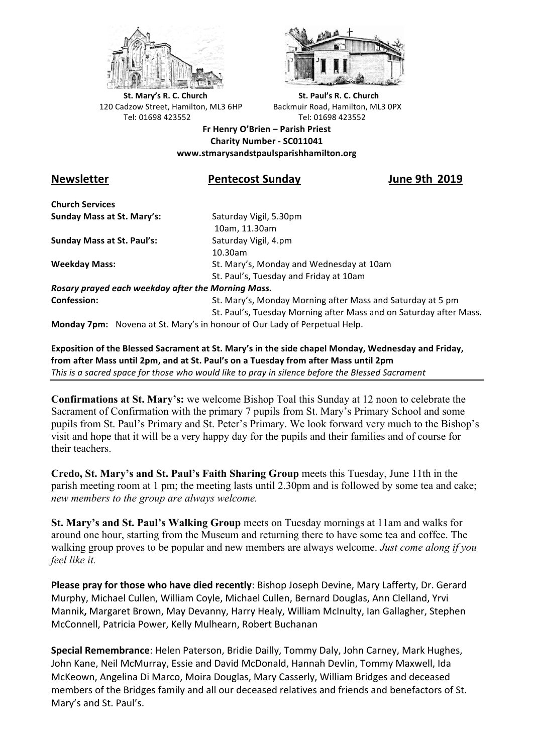



**St.** Mary's R. C. Church St. Paul's R. C. Church 120 Cadzow Street, Hamilton, ML3 6HP Backmuir Road, Hamilton, ML3 0PX Tel: 01698 423552 Tel: 01698 423552

**Fr Henry O'Brien – Parish Priest Charity Number - SC011041 www.stmarysandstpaulsparishhamilton.org**

## Newsletter *Newsletter* **12019**

**Church Services Sunday Mass at St. Mary's:** Saturday Vigil, 5.30pm

**Sunday Mass at St. Paul's:** Saturday Vigil, 4.pm

 10am, 11.30am 10.30am **Weekday Mass:** St. Mary's, Monday and Wednesday at 10am St. Paul's, Tuesday and Friday at 10am

*Rosary prayed each weekday after the Morning Mass.* **Confession:** St. Mary's, Monday Morning after Mass and Saturday at 5 pm

St. Paul's, Tuesday Morning after Mass and on Saturday after Mass.

**Monday 7pm:** Novena at St. Mary's in honour of Our Lady of Perpetual Help.

Exposition of the Blessed Sacrament at St. Mary's in the side chapel Monday, Wednesday and Friday, from after Mass until 2pm, and at St. Paul's on a Tuesday from after Mass until 2pm This is a sacred space for those who would like to pray in silence before the Blessed Sacrament

**Confirmations at St. Mary's:** we welcome Bishop Toal this Sunday at 12 noon to celebrate the Sacrament of Confirmation with the primary 7 pupils from St. Mary's Primary School and some pupils from St. Paul's Primary and St. Peter's Primary. We look forward very much to the Bishop's visit and hope that it will be a very happy day for the pupils and their families and of course for their teachers.

**Credo, St. Mary's and St. Paul's Faith Sharing Group** meets this Tuesday, June 11th in the parish meeting room at 1 pm; the meeting lasts until 2.30pm and is followed by some tea and cake; *new members to the group are always welcome.*

**St. Mary's and St. Paul's Walking Group** meets on Tuesday mornings at 11am and walks for around one hour, starting from the Museum and returning there to have some tea and coffee. The walking group proves to be popular and new members are always welcome. *Just come along if you feel like it.*

**Please pray for those who have died recently**: Bishop Joseph Devine, Mary Lafferty, Dr. Gerard Murphy, Michael Cullen, William Coyle, Michael Cullen, Bernard Douglas, Ann Clelland, Yrvi Mannik, Margaret Brown, May Devanny, Harry Healy, William McInulty, Ian Gallagher, Stephen McConnell, Patricia Power, Kelly Mulhearn, Robert Buchanan

**Special Remembrance**: Helen Paterson, Bridie Dailly, Tommy Daly, John Carney, Mark Hughes, John Kane, Neil McMurray, Essie and David McDonald, Hannah Devlin, Tommy Maxwell, Ida McKeown, Angelina Di Marco, Moira Douglas, Mary Casserly, William Bridges and deceased members of the Bridges family and all our deceased relatives and friends and benefactors of St. Mary's and St. Paul's.